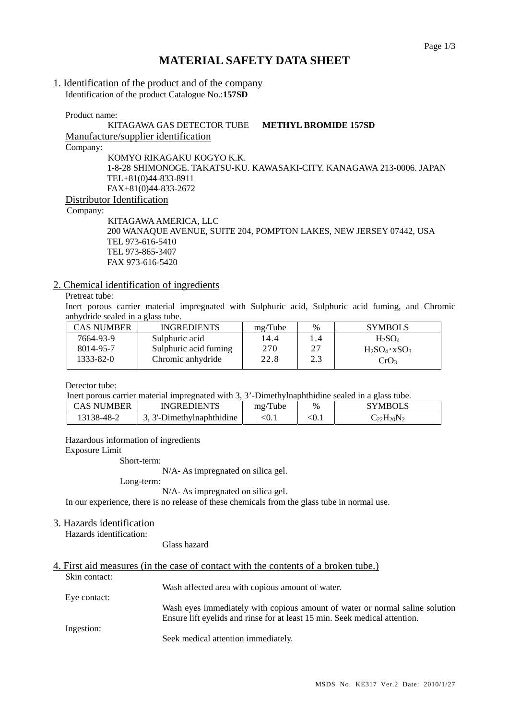÷

# **MATERIAL SAFETY DATA SHEET**

### 1. Identification of the product and of the company

Identification of the product Catalogue No.:**157SD** 

Product name:

#### KITAGAWA GAS DETECTOR TUBE **METHYL BROMIDE 157SD** Manufacture/supplier identification

Company:

KOMYO RIKAGAKU KOGYO K.K. 1-8-28 SHIMONOGE. TAKATSU-KU. KAWASAKI-CITY. KANAGAWA 213-0006. JAPAN TEL+81(0)44-833-8911 FAX+81(0)44-833-2672

Distributor Identification

Company:

KITAGAWA AMERICA, LLC 200 WANAQUE AVENUE, SUITE 204, POMPTON LAKES, NEW JERSEY 07442, USA TEL 973-616-5410 TEL 973-865-3407 FAX 973-616-5420

### 2. Chemical identification of ingredients

# Pretreat tube:

Inert porous carrier material impregnated with Sulphuric acid, Sulphuric acid fuming, and Chromic anhydride sealed in a glass tube.

| <b>CAS NUMBER</b> | <b>INGREDIENTS</b>    | mg/Tube | $\%$ | <b>SYMBOLS</b>        |
|-------------------|-----------------------|---------|------|-----------------------|
| 7664-93-9         | Sulphuric acid        | 14.4    | 1.4  | $H_2SO_4$             |
| 8014-95-7         | Sulphuric acid fuming | 270     | 27   | $H_2SO_4 \cdot xSO_3$ |
| 1333-82-0         | Chromic anhydride     | 22.8    | 2.3  | CrO <sub>3</sub>      |

Detector tube:

|                                                                                                                                                                                                                                                                                                                                      | Therefore proposed arrive material impregnated with 3, 3'-Dimethylnaphthiding sealed in a glass tube. |         |                         |
|--------------------------------------------------------------------------------------------------------------------------------------------------------------------------------------------------------------------------------------------------------------------------------------------------------------------------------------|-------------------------------------------------------------------------------------------------------|---------|-------------------------|
| $\overline{C}$ a $C$ and $\overline{C}$ and $\overline{C}$ and $\overline{C}$ and $\overline{C}$ and $\overline{C}$ and $\overline{C}$ and $\overline{C}$ and $\overline{C}$ and $\overline{C}$ and $\overline{C}$ and $\overline{C}$ and $\overline{C}$ and $\overline{C}$ and $\overline{C}$ and $\overline{C}$ and $\overline{C}$ | <b>INICDEDIENTS</b>                                                                                   | ma/Tuha | $\alpha$ vando $\alpha$ |

| CAS NUMBER   | INGREDIENTS              | mg/Tube | $\%$  | SYMBOLS         |
|--------------|--------------------------|---------|-------|-----------------|
| $138 - 48 -$ | . 3'-Dimethylnaphthidine | 70. I   | .v. 1 | $_{-22}H_{20}N$ |

Hazardous information of ingredients

Exposure Limit

Short-term:

N/A- As impregnated on silica gel.

Long-term:

N/A- As impregnated on silica gel.

In our experience, there is no release of these chemicals from the glass tube in normal use.

#### 3. Hazards identification

Hazards identification:

Glass hazard

#### 4. First aid measures (in the case of contact with the contents of a broken tube.)

| Skin contact: |                                                                              |
|---------------|------------------------------------------------------------------------------|
|               | Wash affected area with copious amount of water.                             |
| Eye contact:  |                                                                              |
|               | Wash eyes immediately with copious amount of water or normal saline solution |
|               | Ensure lift eyelids and rinse for at least 15 min. Seek medical attention.   |
| Ingestion:    |                                                                              |
|               | Seek medical attention immediately.                                          |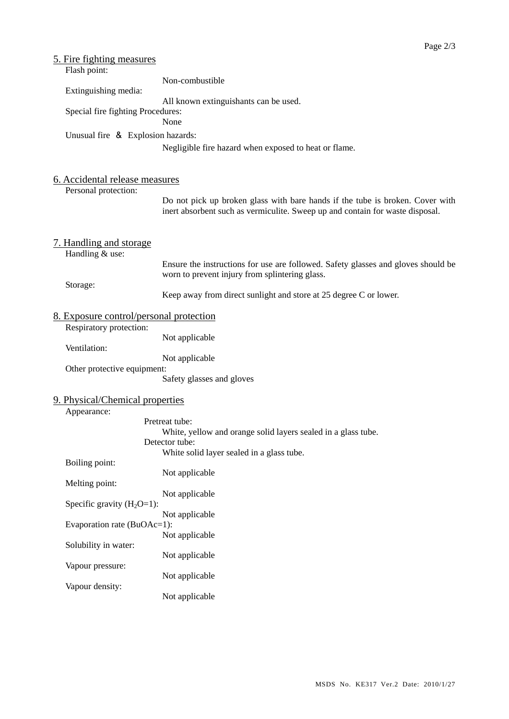| 5. Fire fighting measures<br>Flash point:              |                                                                                                                                                                |
|--------------------------------------------------------|----------------------------------------------------------------------------------------------------------------------------------------------------------------|
|                                                        | Non-combustible                                                                                                                                                |
| Extinguishing media:                                   | All known extinguishants can be used.                                                                                                                          |
| Special fire fighting Procedures:                      | None                                                                                                                                                           |
| Unusual fire & Explosion hazards:                      |                                                                                                                                                                |
|                                                        | Negligible fire hazard when exposed to heat or flame.                                                                                                          |
| 6. Accidental release measures<br>Personal protection: |                                                                                                                                                                |
|                                                        | Do not pick up broken glass with bare hands if the tube is broken. Cover with<br>inert absorbent such as vermiculite. Sweep up and contain for waste disposal. |
| 7. Handling and storage<br>Handling & use:             |                                                                                                                                                                |
|                                                        | Ensure the instructions for use are followed. Safety glasses and gloves should be<br>worn to prevent injury from splintering glass.                            |
| Storage:                                               | Keep away from direct sunlight and store at 25 degree C or lower.                                                                                              |
| <u>8. Exposure control/personal protection</u>         |                                                                                                                                                                |
| Respiratory protection:                                | Not applicable                                                                                                                                                 |
| Ventilation:                                           | Not applicable                                                                                                                                                 |
| Other protective equipment:                            |                                                                                                                                                                |
|                                                        | Safety glasses and gloves                                                                                                                                      |
| 9. Physical/Chemical properties<br>Appearance:         |                                                                                                                                                                |
|                                                        | Pretreat tube:                                                                                                                                                 |
|                                                        | White, yellow and orange solid layers sealed in a glass tube.<br>Detector tube:                                                                                |
|                                                        | White solid layer sealed in a glass tube.                                                                                                                      |
| Boiling point:                                         | Not applicable                                                                                                                                                 |
| Melting point:                                         |                                                                                                                                                                |
| Specific gravity $(H_2O=1)$ :                          | Not applicable                                                                                                                                                 |
| Evaporation rate (BuOAc=1):                            | Not applicable                                                                                                                                                 |
|                                                        | Not applicable                                                                                                                                                 |
| Solubility in water:                                   | Not applicable                                                                                                                                                 |
| Vapour pressure:                                       |                                                                                                                                                                |
| Vapour density:                                        | Not applicable                                                                                                                                                 |
|                                                        | Not applicable                                                                                                                                                 |